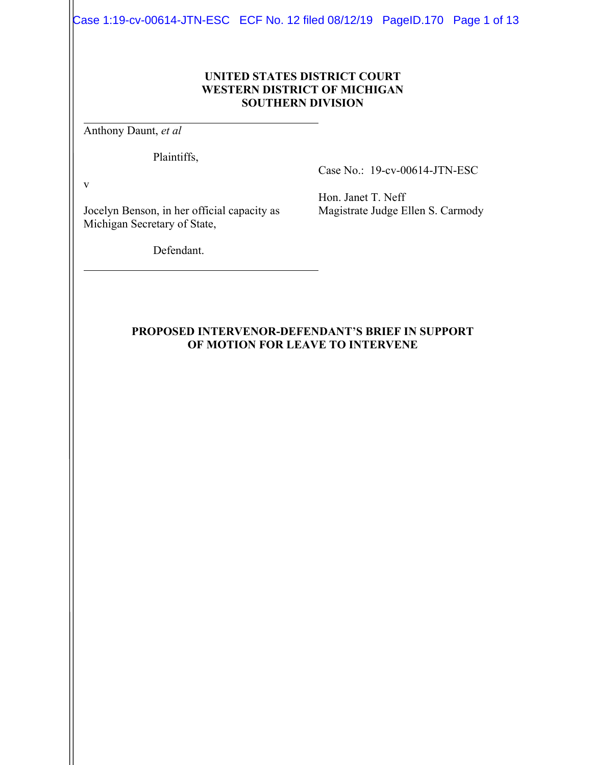Case 1:19-cv-00614-JTN-ESC ECF No. 12 filed 08/12/19 PageID.170 Page 1 of 13

#### **UNITED STATES DISTRICT COURT WESTERN DISTRICT OF MICHIGAN SOUTHERN DIVISION**

Anthony Daunt, *et al*

Plaintiffs,

Case No.: 19-cv-00614-JTN-ESC

v

Jocelyn Benson, in her official capacity as Michigan Secretary of State,

Hon. Janet T. Neff Magistrate Judge Ellen S. Carmody

Defendant.

#### **PROPOSED INTERVENOR-DEFENDANT'S BRIEF IN SUPPORT OF MOTION FOR LEAVE TO INTERVENE**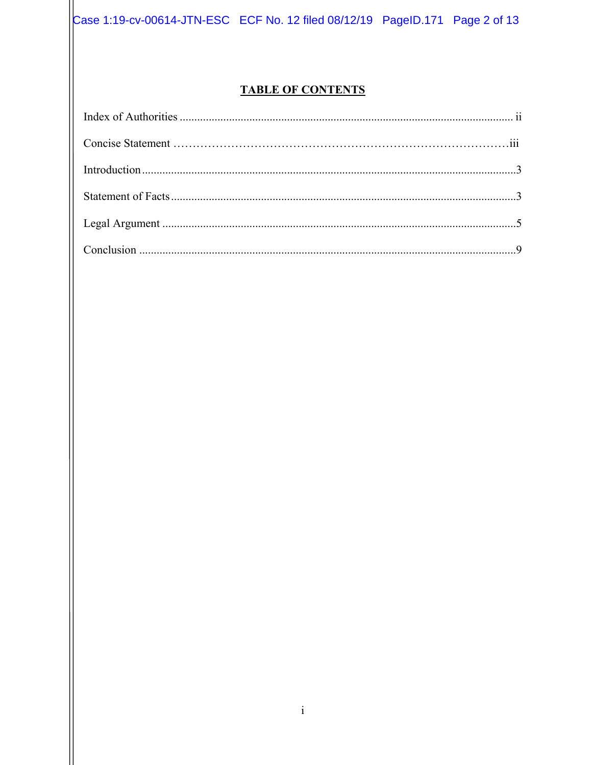Case 1:19-cv-00614-JTN-ESC ECF No. 12 filed 08/12/19 PageID.171 Page 2 of 13

## **TABLE OF CONTENTS**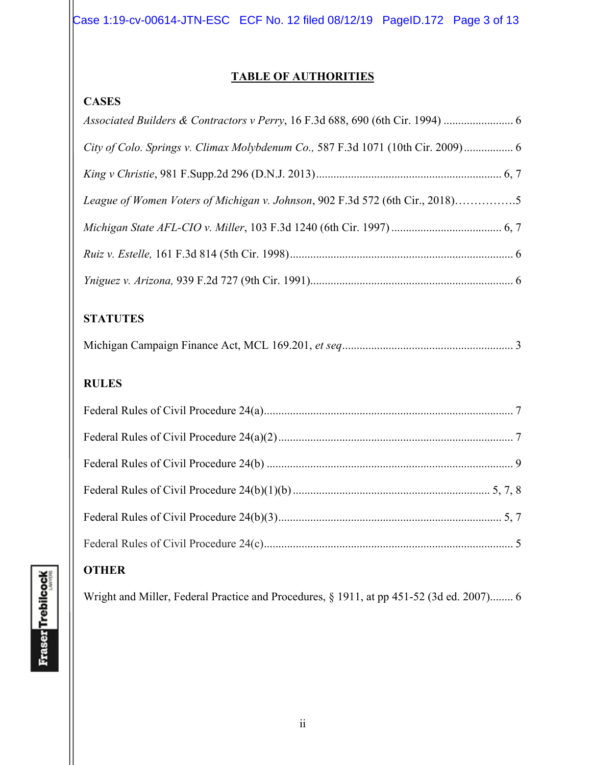Case 1:19-cv-00614-JTN-ESC ECF No. 12 filed 08/12/19 PageID.172 Page 3 of 13

## **TABLE OF AUTHORITIES**

## **CASES**

## **STATUTES**

# **RULES**

# **OTHER**

Wright and Miller, Federal Practice and Procedures, § 1911, at pp 451-52 (3d ed. 2007)........ 6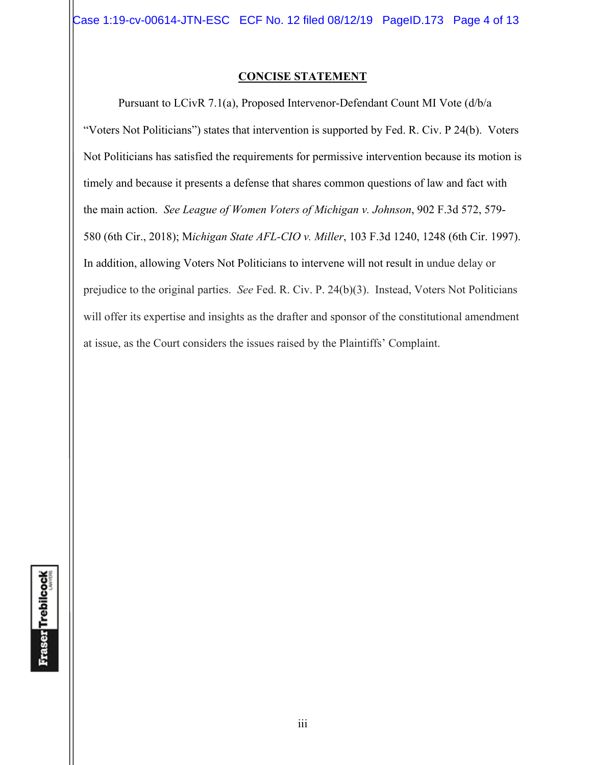#### **CONCISE STATEMENT**

Pursuant to LCivR 7.1(a), Proposed Intervenor-Defendant Count MI Vote (d/b/a "Voters Not Politicians") states that intervention is supported by Fed. R. Civ. P 24(b). Voters Not Politicians has satisfied the requirements for permissive intervention because its motion is timely and because it presents a defense that shares common questions of law and fact with the main action. *See League of Women Voters of Michigan v. Johnson*, 902 F.3d 572, 579- 580 (6th Cir., 2018); M*ichigan State AFL-CIO v. Miller*, 103 F.3d 1240, 1248 (6th Cir. 1997). In addition, allowing Voters Not Politicians to intervene will not result in undue delay or prejudice to the original parties. *See* Fed. R. Civ. P. 24(b)(3). Instead, Voters Not Politicians will offer its expertise and insights as the drafter and sponsor of the constitutional amendment at issue, as the Court considers the issues raised by the Plaintiffs' Complaint.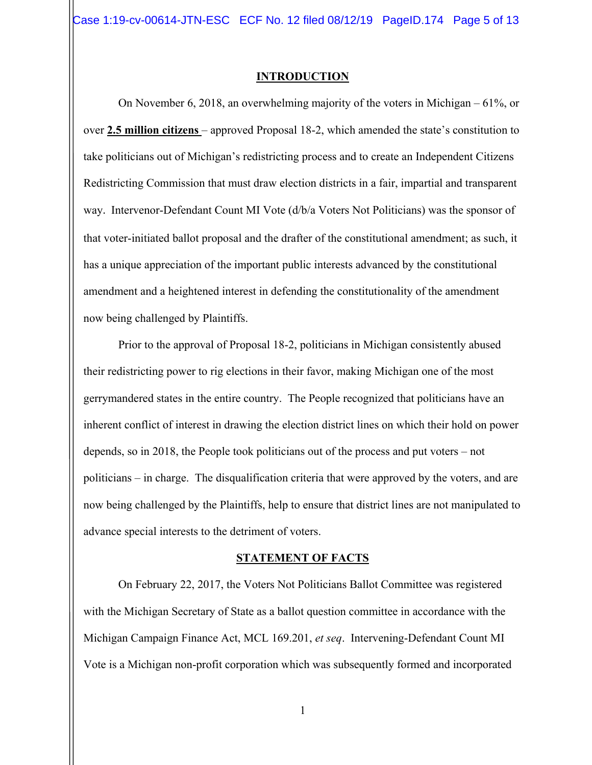Case 1:19-cv-00614-JTN-ESC ECF No. 12 filed 08/12/19 PageID.174 Page 5 of 13

#### **INTRODUCTION**

On November 6, 2018, an overwhelming majority of the voters in Michigan – 61%, or over **2.5 million citizens** – approved Proposal 18-2, which amended the state's constitution to take politicians out of Michigan's redistricting process and to create an Independent Citizens Redistricting Commission that must draw election districts in a fair, impartial and transparent way. Intervenor-Defendant Count MI Vote (d/b/a Voters Not Politicians) was the sponsor of that voter-initiated ballot proposal and the drafter of the constitutional amendment; as such, it has a unique appreciation of the important public interests advanced by the constitutional amendment and a heightened interest in defending the constitutionality of the amendment now being challenged by Plaintiffs.

Prior to the approval of Proposal 18-2, politicians in Michigan consistently abused their redistricting power to rig elections in their favor, making Michigan one of the most gerrymandered states in the entire country. The People recognized that politicians have an inherent conflict of interest in drawing the election district lines on which their hold on power depends, so in 2018, the People took politicians out of the process and put voters – not politicians – in charge. The disqualification criteria that were approved by the voters, and are now being challenged by the Plaintiffs, help to ensure that district lines are not manipulated to advance special interests to the detriment of voters.

#### **STATEMENT OF FACTS**

On February 22, 2017, the Voters Not Politicians Ballot Committee was registered with the Michigan Secretary of State as a ballot question committee in accordance with the Michigan Campaign Finance Act, MCL 169.201, *et seq*. Intervening-Defendant Count MI Vote is a Michigan non-profit corporation which was subsequently formed and incorporated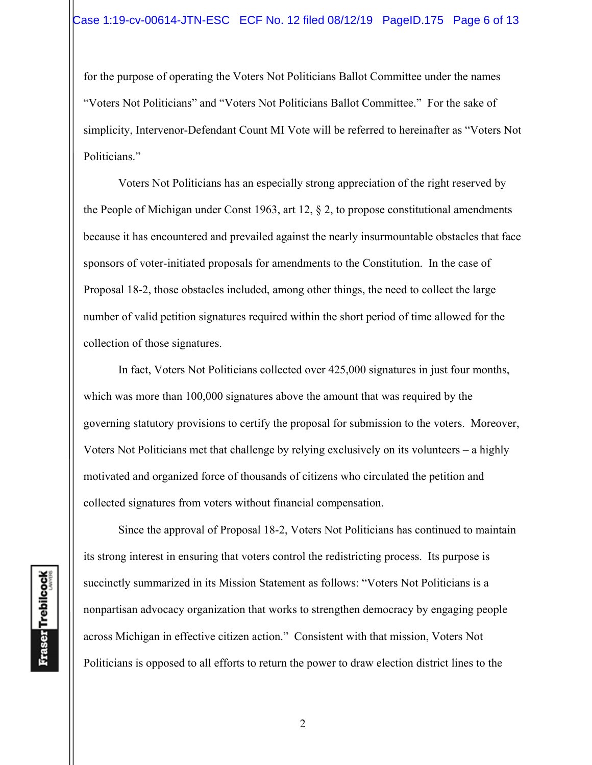for the purpose of operating the Voters Not Politicians Ballot Committee under the names "Voters Not Politicians" and "Voters Not Politicians Ballot Committee." For the sake of simplicity, Intervenor-Defendant Count MI Vote will be referred to hereinafter as "Voters Not Politicians."

Voters Not Politicians has an especially strong appreciation of the right reserved by the People of Michigan under Const 1963, art 12, § 2, to propose constitutional amendments because it has encountered and prevailed against the nearly insurmountable obstacles that face sponsors of voter-initiated proposals for amendments to the Constitution. In the case of Proposal 18-2, those obstacles included, among other things, the need to collect the large number of valid petition signatures required within the short period of time allowed for the collection of those signatures.

In fact, Voters Not Politicians collected over 425,000 signatures in just four months, which was more than 100,000 signatures above the amount that was required by the governing statutory provisions to certify the proposal for submission to the voters. Moreover, Voters Not Politicians met that challenge by relying exclusively on its volunteers – a highly motivated and organized force of thousands of citizens who circulated the petition and collected signatures from voters without financial compensation.

Since the approval of Proposal 18-2, Voters Not Politicians has continued to maintain its strong interest in ensuring that voters control the redistricting process. Its purpose is succinctly summarized in its Mission Statement as follows: "Voters Not Politicians is a nonpartisan advocacy organization that works to strengthen democracy by engaging people across Michigan in effective citizen action." Consistent with that mission, Voters Not Politicians is opposed to all efforts to return the power to draw election district lines to the

**Fraser** Trebilcock

2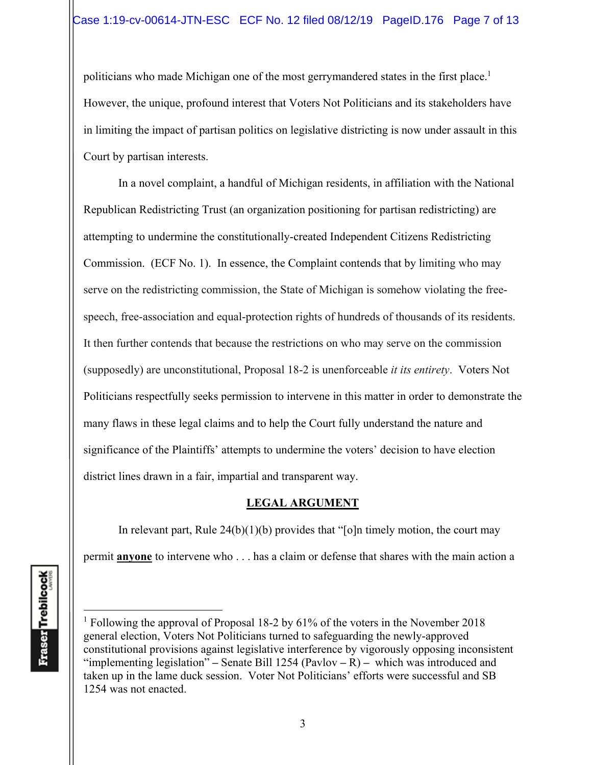politicians who made Michigan one of the most gerrymandered states in the first place.<sup>1</sup> However, the unique, profound interest that Voters Not Politicians and its stakeholders have in limiting the impact of partisan politics on legislative districting is now under assault in this Court by partisan interests.

In a novel complaint, a handful of Michigan residents, in affiliation with the National Republican Redistricting Trust (an organization positioning for partisan redistricting) are attempting to undermine the constitutionally-created Independent Citizens Redistricting Commission. (ECF No. 1). In essence, the Complaint contends that by limiting who may serve on the redistricting commission, the State of Michigan is somehow violating the freespeech, free-association and equal-protection rights of hundreds of thousands of its residents. It then further contends that because the restrictions on who may serve on the commission (supposedly) are unconstitutional, Proposal 18-2 is unenforceable *it its entirety*. Voters Not Politicians respectfully seeks permission to intervene in this matter in order to demonstrate the many flaws in these legal claims and to help the Court fully understand the nature and significance of the Plaintiffs' attempts to undermine the voters' decision to have election district lines drawn in a fair, impartial and transparent way.

### **LEGAL ARGUMENT**

In relevant part, Rule  $24(b)(1)(b)$  provides that "[o]n timely motion, the court may permit **anyone** to intervene who . . . has a claim or defense that shares with the main action a

<sup>&</sup>lt;sup>1</sup> Following the approval of Proposal 18-2 by 61% of the voters in the November 2018 general election, Voters Not Politicians turned to safeguarding the newly-approved constitutional provisions against legislative interference by vigorously opposing inconsistent "implementing legislation" **–** Senate Bill 1254 (Pavlov **–** R) **–** which was introduced and taken up in the lame duck session. Voter Not Politicians' efforts were successful and SB 1254 was not enacted.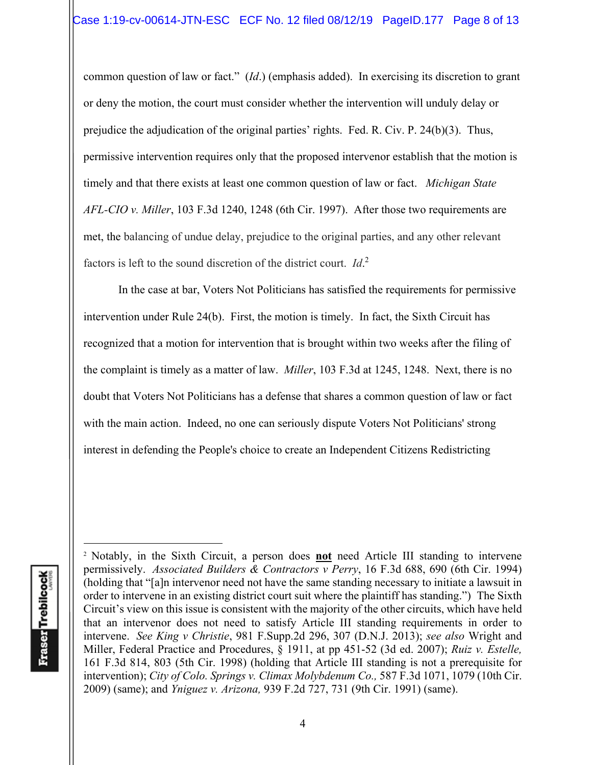common question of law or fact." (*Id*.) (emphasis added). In exercising its discretion to grant or deny the motion, the court must consider whether the intervention will unduly delay or prejudice the adjudication of the original parties' rights. Fed. R. Civ. P. 24(b)(3). Thus, permissive intervention requires only that the proposed intervenor establish that the motion is timely and that there exists at least one common question of law or fact. *Michigan State AFL-CIO v. Miller*, 103 F.3d 1240, 1248 (6th Cir. 1997). After those two requirements are met, the balancing of undue delay, prejudice to the original parties, and any other relevant factors is left to the sound discretion of the district court. *Id*. 2

 In the case at bar, Voters Not Politicians has satisfied the requirements for permissive intervention under Rule 24(b). First, the motion is timely. In fact, the Sixth Circuit has recognized that a motion for intervention that is brought within two weeks after the filing of the complaint is timely as a matter of law. *Miller*, 103 F.3d at 1245, 1248. Next, there is no doubt that Voters Not Politicians has a defense that shares a common question of law or fact with the main action. Indeed, no one can seriously dispute Voters Not Politicians' strong interest in defending the People's choice to create an Independent Citizens Redistricting

<sup>2</sup> Notably, in the Sixth Circuit, a person does **not** need Article III standing to intervene permissively. *Associated Builders & Contractors v Perry*, 16 F.3d 688, 690 (6th Cir. 1994) (holding that "[a]n intervenor need not have the same standing necessary to initiate a lawsuit in order to intervene in an existing district court suit where the plaintiff has standing.") The Sixth Circuit's view on this issue is consistent with the majority of the other circuits, which have held that an intervenor does not need to satisfy Article III standing requirements in order to intervene. *See King v Christie*, 981 F.Supp.2d 296, 307 (D.N.J. 2013); *see also* Wright and Miller, Federal Practice and Procedures, § 1911, at pp 451-52 (3d ed. 2007); *Ruiz v. Estelle,*  161 F.3d 814, 803 (5th Cir. 1998) (holding that Article III standing is not a prerequisite for intervention); *City of Colo. Springs v. Climax Molybdenum Co.*, 587 F.3d 1071, 1079 (10th Cir. 2009) (same); and *Yniguez v. Arizona,* 939 F.2d 727, 731 (9th Cir. 1991) (same).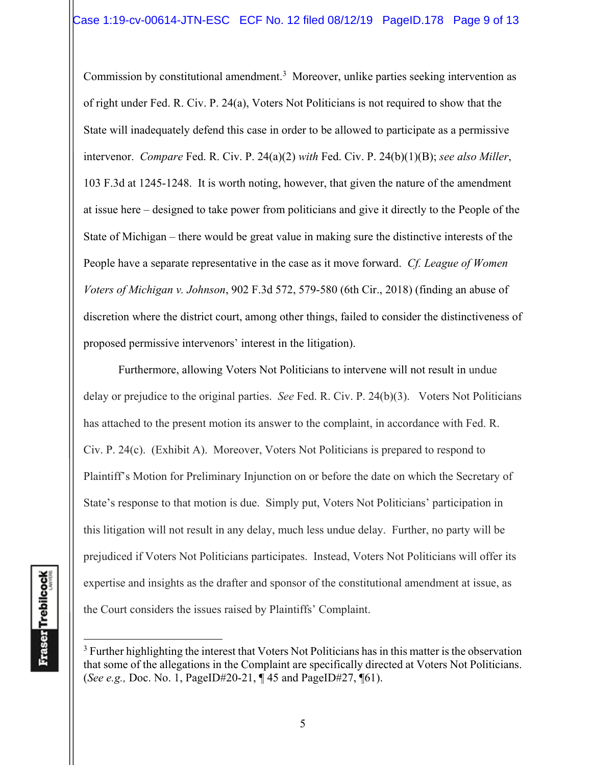Commission by constitutional amendment.<sup>3</sup> Moreover, unlike parties seeking intervention as of right under Fed. R. Civ. P. 24(a), Voters Not Politicians is not required to show that the State will inadequately defend this case in order to be allowed to participate as a permissive intervenor. *Compare* Fed. R. Civ. P. 24(a)(2) *with* Fed. Civ. P. 24(b)(1)(B); *see also Miller*, 103 F.3d at 1245-1248. It is worth noting, however, that given the nature of the amendment at issue here – designed to take power from politicians and give it directly to the People of the State of Michigan – there would be great value in making sure the distinctive interests of the People have a separate representative in the case as it move forward. *Cf. League of Women Voters of Michigan v. Johnson*, 902 F.3d 572, 579-580 (6th Cir., 2018) (finding an abuse of discretion where the district court, among other things, failed to consider the distinctiveness of proposed permissive intervenors' interest in the litigation).

 Furthermore, allowing Voters Not Politicians to intervene will not result in undue delay or prejudice to the original parties. *See* Fed. R. Civ. P. 24(b)(3). Voters Not Politicians has attached to the present motion its answer to the complaint, in accordance with Fed. R. Civ. P. 24(c). (Exhibit A). Moreover, Voters Not Politicians is prepared to respond to Plaintiff's Motion for Preliminary Injunction on or before the date on which the Secretary of State's response to that motion is due. Simply put, Voters Not Politicians' participation in this litigation will not result in any delay, much less undue delay. Further, no party will be prejudiced if Voters Not Politicians participates. Instead, Voters Not Politicians will offer its expertise and insights as the drafter and sponsor of the constitutional amendment at issue, as the Court considers the issues raised by Plaintiffs' Complaint.

<sup>&</sup>lt;sup>3</sup> Further highlighting the interest that Voters Not Politicians has in this matter is the observation that some of the allegations in the Complaint are specifically directed at Voters Not Politicians. (*See e.g.,* Doc. No. 1, PageID#20-21, ¶ 45 and PageID#27, ¶61).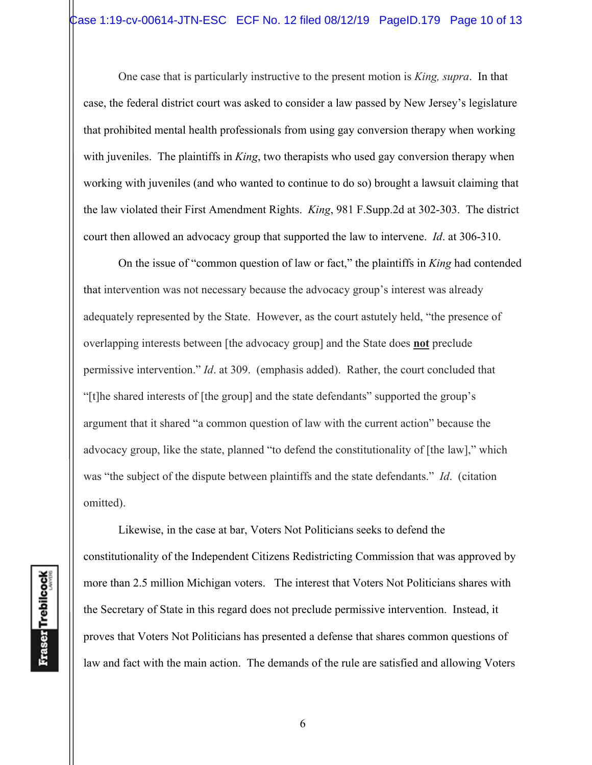One case that is particularly instructive to the present motion is *King, supra*. In that case, the federal district court was asked to consider a law passed by New Jersey's legislature that prohibited mental health professionals from using gay conversion therapy when working with juveniles. The plaintiffs in *King*, two therapists who used gay conversion therapy when working with juveniles (and who wanted to continue to do so) brought a lawsuit claiming that the law violated their First Amendment Rights. *King*, 981 F.Supp.2d at 302-303. The district court then allowed an advocacy group that supported the law to intervene. *Id*. at 306-310.

On the issue of "common question of law or fact," the plaintiffs in *King* had contended that intervention was not necessary because the advocacy group's interest was already adequately represented by the State. However, as the court astutely held, "the presence of overlapping interests between [the advocacy group] and the State does **not** preclude permissive intervention." *Id*. at 309. (emphasis added). Rather, the court concluded that "[t]he shared interests of [the group] and the state defendants" supported the group's argument that it shared "a common question of law with the current action" because the advocacy group, like the state, planned "to defend the constitutionality of [the law]," which was "the subject of the dispute between plaintiffs and the state defendants." *Id*. (citation omitted).

Likewise, in the case at bar, Voters Not Politicians seeks to defend the constitutionality of the Independent Citizens Redistricting Commission that was approved by more than 2.5 million Michigan voters. The interest that Voters Not Politicians shares with the Secretary of State in this regard does not preclude permissive intervention. Instead, it proves that Voters Not Politicians has presented a defense that shares common questions of law and fact with the main action. The demands of the rule are satisfied and allowing Voters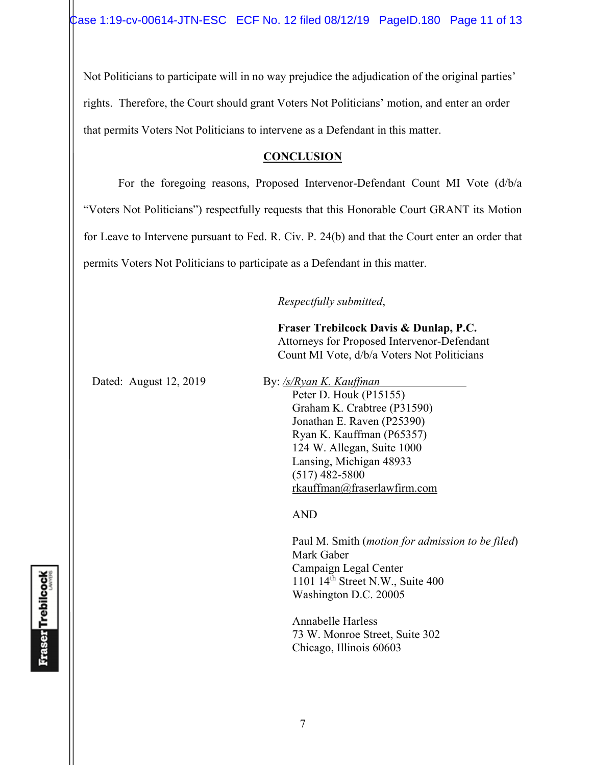Not Politicians to participate will in no way prejudice the adjudication of the original parties' rights. Therefore, the Court should grant Voters Not Politicians' motion, and enter an order that permits Voters Not Politicians to intervene as a Defendant in this matter.

### **CONCLUSION**

 For the foregoing reasons, Proposed Intervenor-Defendant Count MI Vote (d/b/a "Voters Not Politicians") respectfully requests that this Honorable Court GRANT its Motion for Leave to Intervene pursuant to Fed. R. Civ. P. 24(b) and that the Court enter an order that permits Voters Not Politicians to participate as a Defendant in this matter.

*Respectfully submitted*,

 **Fraser Trebilcock Davis & Dunlap, P.C.**  Attorneys for Proposed Intervenor-Defendant Count MI Vote, d/b/a Voters Not Politicians

Dated: August 12, 2019 By: */s/Ryan K. Kauffman* 

Peter D. Houk (P15155) Graham K. Crabtree (P31590) Jonathan E. Raven (P25390) Ryan K. Kauffman (P65357) 124 W. Allegan, Suite 1000 Lansing, Michigan 48933 (517) 482-5800 rkauffman@fraserlawfirm.com

AND

 Paul M. Smith (*motion for admission to be filed*) Mark Gaber Campaign Legal Center 1101  $14<sup>th</sup>$  Street N.W., Suite 400 Washington D.C. 20005

 Annabelle Harless 73 W. Monroe Street, Suite 302 Chicago, Illinois 60603

**Fraser** Trebilcock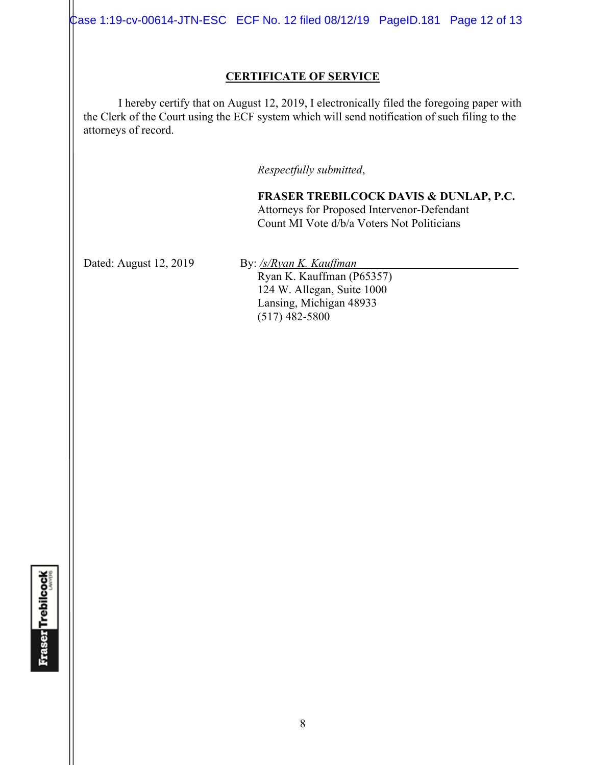Case 1:19-cv-00614-JTN-ESC ECF No. 12 filed 08/12/19 PageID.181 Page 12 of 13

### **CERTIFICATE OF SERVICE**

I hereby certify that on August 12, 2019, I electronically filed the foregoing paper with the Clerk of the Court using the ECF system which will send notification of such filing to the attorneys of record.

*Respectfully submitted*,

**FRASER TREBILCOCK DAVIS & DUNLAP, P.C.** Attorneys for Proposed Intervenor-Defendant Count MI Vote d/b/a Voters Not Politicians

Dated: August 12, 2019 By: /s/*Ryan K. Kauffman* 

Ryan K. Kauffman (P65357) 124 W. Allegan, Suite 1000 Lansing, Michigan 48933  $(517)$  482-5800